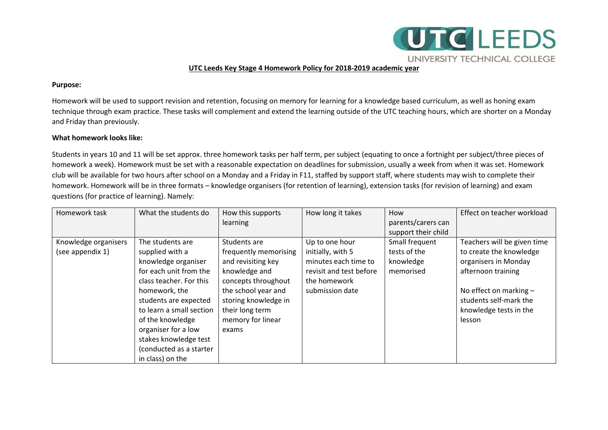

## **UTC Leeds Key Stage 4 Homework Policy for 2018-2019 academic year**

#### **Purpose:**

Homework will be used to support revision and retention, focusing on memory for learning for a knowledge based curriculum, as well as honing exam technique through exam practice. These tasks will complement and extend the learning outside of the UTC teaching hours, which are shorter on a Monday and Friday than previously.

#### **What homework looks like:**

Students in years 10 and 11 will be set approx. three homework tasks per half term, per subject (equating to once a fortnight per subject/three pieces of homework a week). Homework must be set with a reasonable expectation on deadlines for submission, usually a week from when it was set. Homework club will be available for two hours after school on a Monday and a Friday in F11, staffed by support staff, where students may wish to complete their homework. Homework will be in three formats – knowledge organisers (for retention of learning), extension tasks (for revision of learning) and exam questions (for practice of learning). Namely:

| Homework task        | What the students do     | How this supports<br>learning | How long it takes       | How<br>parents/carers can | Effect on teacher workload  |
|----------------------|--------------------------|-------------------------------|-------------------------|---------------------------|-----------------------------|
|                      |                          |                               |                         | support their child       |                             |
| Knowledge organisers | The students are         | Students are                  | Up to one hour          | Small frequent            | Teachers will be given time |
| (see appendix 1)     | supplied with a          | frequently memorising         | initially, with 5       | tests of the              | to create the knowledge     |
|                      | knowledge organiser      | and revisiting key            | minutes each time to    | knowledge                 | organisers in Monday        |
|                      | for each unit from the   | knowledge and                 | revisit and test before | memorised                 | afternoon training          |
|                      | class teacher. For this  | concepts throughout           | the homework            |                           |                             |
|                      | homework, the            | the school year and           | submission date         |                           | No effect on marking $-$    |
|                      | students are expected    | storing knowledge in          |                         |                           | students self-mark the      |
|                      | to learn a small section | their long term               |                         |                           | knowledge tests in the      |
|                      | of the knowledge         | memory for linear             |                         |                           | lesson                      |
|                      | organiser for a low      | exams                         |                         |                           |                             |
|                      | stakes knowledge test    |                               |                         |                           |                             |
|                      | (conducted as a starter  |                               |                         |                           |                             |
|                      | in class) on the         |                               |                         |                           |                             |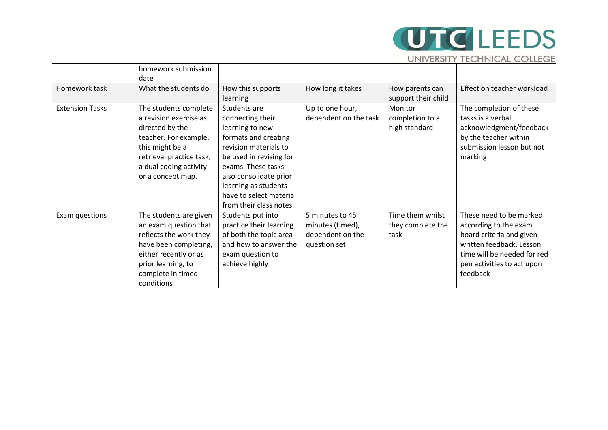# **UTC** LEEDS UNIVERSITY TECHNICAL COLLEGE

|                                       | homework submission      |                         |                       |                     |                             |  |
|---------------------------------------|--------------------------|-------------------------|-----------------------|---------------------|-----------------------------|--|
|                                       | date                     |                         |                       |                     |                             |  |
| Homework task<br>What the students do |                          | How this supports       | How long it takes     | How parents can     | Effect on teacher workload  |  |
|                                       |                          | learning                |                       | support their child |                             |  |
| <b>Extension Tasks</b>                | The students complete    | Students are            | Up to one hour,       | Monitor             | The completion of these     |  |
|                                       | a revision exercise as   | connecting their        | dependent on the task | completion to a     | tasks is a verbal           |  |
|                                       | directed by the          | learning to new         |                       |                     | acknowledgment/feedback     |  |
|                                       | teacher. For example,    | formats and creating    |                       |                     | by the teacher within       |  |
|                                       | this might be a          | revision materials to   |                       |                     | submission lesson but not   |  |
|                                       | retrieval practice task, | be used in revising for |                       |                     | marking                     |  |
|                                       | a dual coding activity   | exams. These tasks      |                       |                     |                             |  |
|                                       | or a concept map.        | also consolidate prior  |                       |                     |                             |  |
|                                       |                          | learning as students    |                       |                     |                             |  |
|                                       |                          | have to select material |                       |                     |                             |  |
|                                       |                          | from their class notes. |                       |                     |                             |  |
| Exam questions                        | The students are given   | Students put into       | 5 minutes to 45       | Time them whilst    | These need to be marked     |  |
|                                       | an exam question that    | practice their learning | minutes (timed),      | they complete the   | according to the exam       |  |
|                                       | reflects the work they   | of both the topic area  | dependent on the      | task                | board criteria and given    |  |
|                                       | have been completing,    | and how to answer the   | question set          |                     | written feedback. Lesson    |  |
|                                       | either recently or as    | exam question to        |                       |                     | time will be needed for red |  |
|                                       | prior learning, to       | achieve highly          |                       |                     | pen activities to act upon  |  |
|                                       | complete in timed        |                         |                       |                     | feedback                    |  |
|                                       | conditions               |                         |                       |                     |                             |  |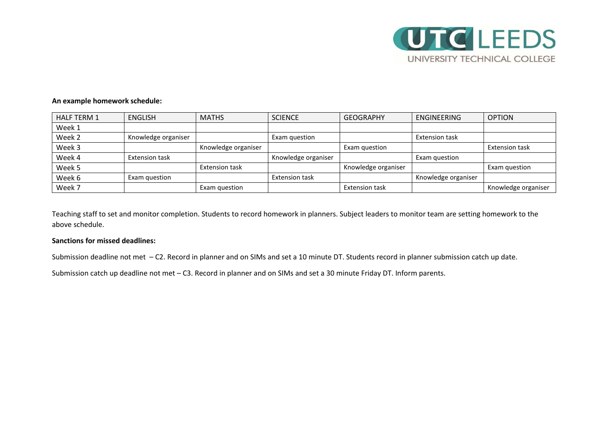

### **An example homework schedule:**

| <b>HALF TERM 1</b> | <b>ENGLISH</b>        | <b>MATHS</b>          | <b>SCIENCE</b>        | <b>GEOGRAPHY</b>      | ENGINEERING           | <b>OPTION</b>         |
|--------------------|-----------------------|-----------------------|-----------------------|-----------------------|-----------------------|-----------------------|
| Week 1             |                       |                       |                       |                       |                       |                       |
| Week 2             | Knowledge organiser   |                       | Exam question         |                       | <b>Extension task</b> |                       |
| Week 3             |                       | Knowledge organiser   |                       | Exam question         |                       | <b>Extension task</b> |
| Week 4             | <b>Extension task</b> |                       | Knowledge organiser   |                       | Exam question         |                       |
| Week 5             |                       | <b>Extension task</b> |                       | Knowledge organiser   |                       | Exam question         |
| Week 6             | Exam question         |                       | <b>Extension task</b> |                       | Knowledge organiser   |                       |
| Week 7             |                       | Exam question         |                       | <b>Extension task</b> |                       | Knowledge organiser   |

Teaching staff to set and monitor completion. Students to record homework in planners. Subject leaders to monitor team are setting homework to the above schedule.

### **Sanctions for missed deadlines:**

Submission deadline not met – C2. Record in planner and on SIMs and set a 10 minute DT. Students record in planner submission catch up date.

Submission catch up deadline not met – C3. Record in planner and on SIMs and set a 30 minute Friday DT. Inform parents.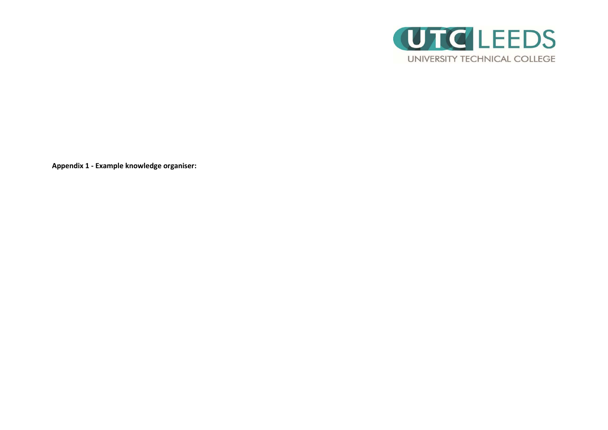

**Appendix 1 - Example knowledge organiser:**